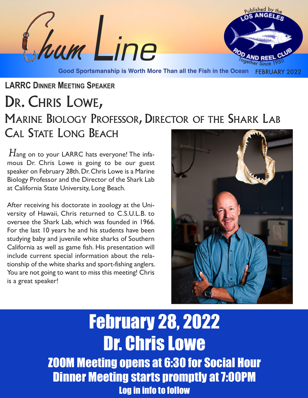

# **LARRC DINNER MEETING SPEAKER** DR. CHRIS LOWE, MARINE BIOLOGY PROFESSOR, DIRECTOR OF THE SHARK LAB CAL STATE LONG BEACH

 $H_{\mathsf{ang}}$  on to your LARRC hats everyone! The infamous Dr. Chris Lowe is going to be our guest speaker on February 28th.Dr.Chris Lowe is a Marine Biology Professor and the Director of the Shark Lab at California State University, Long Beach.

After receiving his doctorate in zoology at the University of Hawaii, Chris returned to C.S.U.L.B. to oversee the Shark Lab, which was founded in 1966. For the last 10 years he and his students have been studying baby and juvenile white sharks of Southern California as well as game fish. His presentation will include current special information about the relationship of the white sharks and sport-fishing anglers. You are not going to want to miss this meeting! Chris is a great speaker!



February 28, 2022 Dr. Chris Lowe ZOOM Meeting opens at 6:30 for Social Hour **Dinner Meeting starts promptly at 7:00PM** Log in info to follow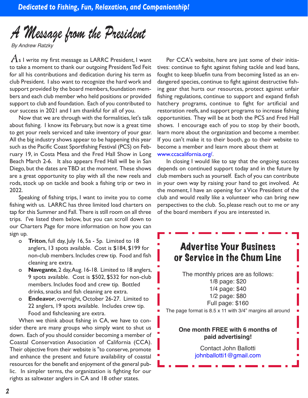# *A Message from the President*

*By Andrew Ratzky*

 $A$ s I write my first message as LARRC President, I want to take a moment to thank our outgoing President Ted Feit for all his contributions and dedication during his term as club President. I also want to recognize the hard work and support provided by the board members, foundation members and each club member who held positions or provided support to club and foundation. Each of you contributed to our success in 2021 and I am thankful for all of you.

Now that we are through with the formalities, let's talk about fishing. I know its February, but now is a great time to get your reels serviced and take inventory of your gear. All the big industry shows appear to be happening this year such as the Pacific Coast Sportfishing Festival (PCS) on February 19, in Costa Mesa and the Fred Hall Show in Long Beach March 2-6. It also appears Fred Hall will be in San Diego, but the dates areTBD at the moment. These shows are a great opportunity to play with all the new reels and rods, stock up on tackle and book a fishing trip or two in 2022.

Speaking of fishing trips, I want to invite you to come fishing with us. LARRC has three limited load charters on tap for this Summer and Fall. There is still room on all three trips. I've listed them below, but you can scroll down to our Charters Page for more information on how you can sign up.

- o **Triton**, full day, July 16, 5a 5p. Limited to 18 anglers, 13 spots available. Cost is \$184, \$199 for non-club members. Includes crew tip. Food and fish cleaning are extra.
- o **Navegante**, 2 day,Aug. 16-18. Limited to 18 anglers, 9 spots available. Cost is \$502, \$532 for non-club members. Includes food and crew tip. Bottled drinks, snacks and fish cleaning are extra.
- o **Endeavor**, overnight, October 26-27. Limited to 22 anglers, 19 spots available. Includes crew tip. Food and fishcleaning are extra.

When we think about fishing in CA, we have to consider there are many groups who simply want to shut us down. Each of you should consider becoming a member of Coastal Conservation Association of California (CCA). Their objective from their website is "to conserve, promote and enhance the present and future availability of coastal resources for the benefit and enjoyment of the general public. In simpler terms, the organization is fighting for our rights as saltwater anglers in CA and 18 other states.

Per CCA's website, here are just some of their initiatives: continue to fight against fishing tackle and lead bans, fought to keep bluefin tuna from becoming listed as an endangered species, continue to fight against destructive fishing gear that hurts our resources, protect against unfair fishing regulations, continue to support and expand finfish hatchery programs, continue to fight for artificial and restoration reefs, and support programs to increase fishing opportunities. They will be at both the PCS and Fred Hall shows. I encourage each of you to stop by their booth, learn more about the organization and become a member. If you can't make it to their booth, go to their website to become a member and learn more about them at www.ccacalifornia.org/.

In closing I would like to say that the ongoing success depends on continued support today and in the future by club members such as yourself. Each of you can contribute in your own way by raising your hand to get involved. At the moment, I have an opening for a Vice President of the club and would really like a volunteer who can bring new perspectives to the club. So, please reach out to me or any of the board members if you are interested in.

## Advertise Your Business or Service in the Chum Line

The monthly prices are as follows: 1/8 page: \$20 1/4 page: \$40 1/2 page: \$80 Full page: \$160

The page format is 8.5 x 11 with 3/4" margins all around

#### **One month FREE with 6 months of paid advertising!**

Contact John Ballotti johnballotti1@gmail.com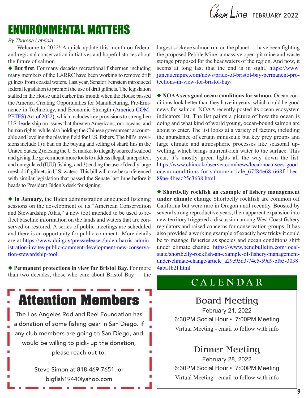Chum Line FEBRUARY 2022

# ENVIRONMENTAL MATTERS

#### *By Theresa Labriola*

Welcome to 2022! A quick update this month on federal and regional conservation initiatives and hopeful stories about the future of salmon.

◆ But first. For many decades recreational fishermen including many members of the LARRC have been working to remove drift gillnets from coastal waters. Last year, Senator Feinstein introduced federal legislation to prohibit the use of drift gillnets.The legislation stalled in the House until earlier this month when the House passed the America Creating Opportunities for Manufacturing, Pre-Eminence in Technology, and Economic Strength (America COM-PETES) Act of 2022), which includes key provisions to strengthen U.S. leadership on issues that threaten Americans, our oceans, and human rights, while also holding the Chinese government accountable and leveling the playing field for U.S. fishers. The bill's provisions include 1) a ban on the buying and selling of shark fins in the United States; 2) closing the U.S. market to illegally sourced seafood and giving the government more tools to address illegal, unreported, and unregulated (IUU) fishing; and 3) ending the use of deadly large mesh drift gillnets in U.S. waters. This bill will now be conferenced with similar legislation that passed the Senate last June before it heads to President Biden's desk for signing.

◆ In **January**, the Biden administration announced listening sessions on the development of its "American Conservation and Stewardship Atlas," a new tool intended to be used to reflect baseline information on the lands and waters that are conserved or restored. A series of public meetings are scheduled and there is an opportunity for public comment. More details are at https://www.doi.gov/pressreleases/biden-harris-administration-invites-public-comment-development-new-conservation-stewardship-tool.

u **Permanent protections in view for Bristol Bay.** For more than two decades, those who care about Bristol Bay — the

**Attention Members**

The Los Angeles Rod and Reel Foundation has a donation of some fishing gear in San Diego. If any club members are going to San Diego, and would be willing to pick- up the donation, please reach out to:

> Steve Simon at 818-469-7651, or bigfish1944@yahoo.com

largest sockeye salmon run on the planet — have been fighting the proposed Pebble Mine, a massive open-pit mine and waste storage proposed for the headwaters of the region. And now, it seems at long last that the end is in sight. https://www. juneauempire.com/news/pride-of-bristol-bay-permanent-protections-in-view-for-bristol-bay/

u **NOAA sees good ocean conditions for salmon.** Ocean conditions look better than they have in years, which could be good news for salmon. NOAA recently posted its ocean ecosystem indicators list. The list paints a picture of how the ocean is doing and what kind of world young, ocean-bound salmon are about to enter. The list looks at a variety of factors, including the abundance of certain minuscule but key prey groups and large climate and atmospheric processes like seasonal upwelling, which brings nutrient-rich water to the surface. This year, it's mostly green lights all the way down the list. https://www.chinookobserver.com/news/local/noaa-sees-goodocean-conditions-for-salmon/article\_67f84e68-668f-11ec-89ae-4beac25c3638.html

u **Shortbelly rockfish an example of fishery management under climate change** Shortbelly rockfish are common off California but were rare in Oregon until recently. Boosted by several strong reproductive years, their apparent expansion into new territory triggered a discussion among West Coast fishery regulators and raised concerns for conservation groups. It has also provided a working example of exactly how tricky it could be to manage fisheries as species and ocean conditions shift under climate change. https://www.bendbulletin.com/localstate/shortbelly-rockfish-an-example-of-fishery-managementunder-climate-change/article\_a29e95d3-74c5-59d9-bfb5-3038 4aba1b2f.html

## **C A L E N D A R**

## Board Meeting February 21, 2022

6:30PM Social Hour • 7:00PM Meeting Virtual Meeting - email to follow with info

## Dinner Meeting

February 28, 2022 6:30PM Social Hour • 7:00PM Meeting Virtual Meeting - email to follow with info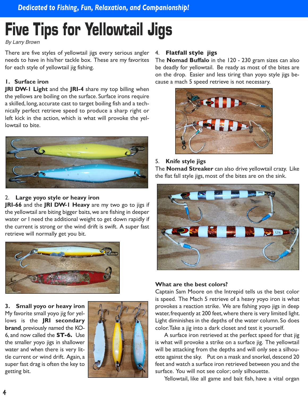# **Five Tips for Yellowtail Jigs**

*By Larry Brown*

There are five styles of yellowtail jigs every serious angler needs to have in his/her tackle box. These are my favorites for each style of yellowtail jig fishing.

#### **1. Surface iron**

**JRI DW-1 Light** and the **JRI-4** share my top billing when the yellows are boiling on the surface. Surface irons require a skilled, long, accurate cast to target boiling fish and a technically perfect retrieve speed to produce a sharp right or left kick in the action, which is what will provoke the yellowtail to bite.



#### 2. **Large yoyo style or heavy iron**

**JRI-66** and the **JRI DW-1 Heavy** are my two go to jigs if the yellowtail are biting bigger baits, we are fishing in deeper water or I need the additional weight to get down rapidly if the current is strong or the wind drift is swift. A super fast retrieve will normally get you bit.



**3. Small yoyo or heavy iron** My favorite small yoyo jig for yellows is the **JRI secondary brand**, previously named the KO-6, and now called the **ST-6.** Use the smaller yoyo jigs in shallower water and when there is very little current or wind drift. Again, a super fast drag is often the key to getting bit.



#### 4. **Flatfall style jigs**

The **Nomad Buffalo** in the 120 - 230 gram sizes can also be deadly for yellowtail. Be ready as most of the bites are on the drop. Easier and less tiring than yoyo style jigs because a mach 5 speed retrieve is not necessary.



#### 5. **Knife style jigs**

The **Nomad Streaker** can also drive yellowtail crazy. Like the flat fall style jigs, most of the bites are on the sink.



#### **What are the best colors?**

Captain Sam Moore on the Intrepid tells us the best color is speed. The Mach 5 retrieve of a heavy yoyo iron is what provokes a reaction strike. We are fishing yoyo jigs in deep water, frequently at 200 feet,where there is very limited light. Light diminishes in the depths of the water column. So does color.Take a jig into a dark closet and test it yourself.

A surface iron retrieved at the perfect speed for that jig is what will provoke a strike on a surface jig. The yellowtail will be attacking from the depths and will only see a silhouette against the sky. Put on a mask and snorkel, descend 20 feet and watch a surface iron retrieved between you and the surface. You will not see color; only silhouette.

Yellowtail, like all game and bait fish, have a vital organ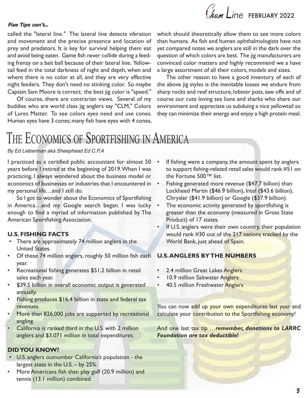# Cham Line FEBRUARY 2022

#### *Five Tips con't*...

called the "lateral line." The lateral line detects vibration and movement and the precise presence and location of prey and predators. It is key for survival helping them eat and avoid being eaten. Game fish never collide during a feeding frenzy on a bait ball because of their lateral line. Yellowtail feed in the total darkness of night and depth, when and where there is no color at all, and they are very effective night feeders. They don't need no stinking color. So maybe Captain Sam Moore is correct; the best jig color is "speed."

Of course, there are contrarian views. Several of my buddies who are world class jig anglers say "CLM," Colors of Lures Matter. To see colors eyes need and use cones. Human eyes have 3 cones; many fish have eyes with 4 cones, which should theoretically allow them to see more colors than humans. As fish and human ophthalmologists have not yet compared notes we anglers are still in the dark over the question of which colors are best. The jig manufacturers are convinced color matters and highly recommend we a have a large assortment of all their colors, models and sizes.

The other reason to have a good inventory of each of the above jig styles is the inevitable losses we endure from sharp rocks and reef structure, lobster pots, saw offs and of course our cute loving sea lions and sharks who share our environment and appreciate us subduing a nice yellowtail so they can minimize their energy and enjoy a high protein meal.

# THE ECONOMICS OF SPORTFISHING IN AMERICA

#### *By Ed Lieberman aka Sheephead Ed C.P.A*

I practiced as a certified public accountant for almost 50 • years before I retired at the beginning of 2019.When I was practicing, I always wondered about the business model or economics of businesses or industries that I encountered in my personal life…and I still do.

So I got to wonder about the Economics of Sportfishing in America…and my Google search began. I was lucky enough to find a myriad of information published by The American Sportfishing Association.

#### **U.S. FISHING FACTS**

- There are approximately 74 million anglers in the United States.
- Of these 74 million anglers, roughly 50 million fish each year.
- Recreational fishing generates \$51.2 billion in retail sales each year.
- \$39.5 billion in overall economic output is generated annually.
- Fishing produces \$16.4 billion in state and federal tax revenues.
- More than 826,000 jobs are supported by recreational angling.
- California is ranked third in the U.S. with 2 million anglers and \$3.071 million in total expenditures.

#### **DIDYOU KNOW?**

- U.S. anglers outnumber California's population the largest state in the U.S. – by 25%.
- More Americans fish than play golf (20.9 million) and tennis (13.1 million) combined.
- If fishing were a company, the amount spent by anglers to support fishing-related retail sales would rank #51 on the Fortune 500™ list.
- Fishing generated more revenue (\$47.7 billion) than Lockheed Martin (\$46.9 billion), Intel (\$43.6 billion), Chrysler (\$41.9 billion) or Google (\$37.9 billion).
- The economic activity generated by sportfishing is greater than the economy (measured in Gross State Product) of 17 states.
- If U.S. anglers were their own country, their population would rank #30 out of the 217 nations tracked by the World Bank, just ahead of Spain.

#### **U.S.ANGLERS BYTHE NUMBERS**

- 2.4 million Great Lakes Anglers
- 10.9 million Saltwater Anglers
- 40.5 million Freshwater Anglers

You can now add up your own expenditures last year and calculate your contribution to the Sportfishing economy!

And one last tax tip …*remember, donations to LARRC Foundation are tax deductible!*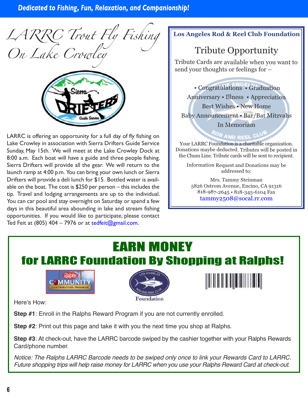*LARRC Trout Fly Fishing On Lake Crowley*



LARRC is offering an opportunity for a full day of fly fishing on Lake Crowley in association with Sierra Drifters Guide Service Sunday, May 15th. We will meet at the Lake Crowley Dock at 8:00 a.m. Each boat will have a guide and three people fishing. Sierra Drifters will provide all the gear. We will return to the launch ramp at 4:00 p.m. You can bring your own lunch or Sierra Drifters will provide a deli lunch for \$15. Bottled water is available on the boat. The cost is \$250 per person – this includes the tip. Travel and lodging arrangements are up to the individual. You can car pool and stay overnight on Saturday or spend a few days in this beautiful area abounding in lake and stream fishing opportunities. If you would like to participate, please contact Ted Feit at (805)  $404 - 7976$  or at tedfeit@gmail.com.

#### **Los Angeles Rod & Reel Club Foundation**

# Tribute Opportunity

Tribute Cards are available when you want to send your thoughts or feelings for –

• Congratulations • Graduation Anniversary • Illness • Appreciation Best Wishes • New Home Baby Announcement • Bar/Bat Mitzvahs In Memoriam

ROD AND REEL CL Your LARRC Foundation is <sup>a</sup> charitable organization. Donations maybe deducted. Tributes will be posted in the Chum Line. Tribute cards will be sent to recipient.

Information Request and Donations may be addressed to:

Mrs. Tammy Steinman 5826 Ostrom Avenue, Encino, CA 91316 818-987-2645 • 818-345-6104 Fax tammy2508@socal.rr.com

# EARN MONEY for LARRC Foundation By Shopping at Ralphs!







Here's How:

**Step #1**: Enroll in the Ralphs Reward Program if you are not currently enrolled.

**Step #2**: Print out this page and take it with you the next time you shop at Ralphs.

**Step #3**: At check-out, have the LARRC barcode swiped by the cashier together with your Ralphs Rewards Card/phone number.

*Notice: The Ralphs LARRC Barcode needs to be swiped only once to link your Rewards Card to LARRC.* Future shopping trips will help raise money for LARRC when you use your Ralphs Reward Card at check-out.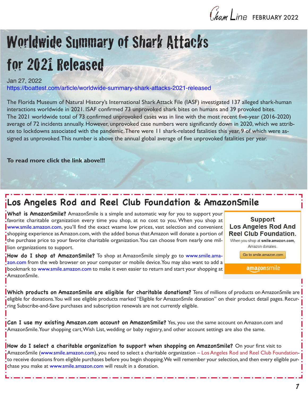

# Worldwide Summary of Shark Attacks for 2021 Released

#### Jan 27, 2022

https://boattest.com/article/worldwide-summary-shark-attacks-2021-released

The Florida Museum of Natural History's International Shark Attack File (IASF) investigated 137 alleged shark-human interactions worldwide in 2021. ISAF confirmed 73 unprovoked shark bites on humans and 39 provoked bites. The 2021 worldwide total of 73 confirmed unprovoked cases was in line with the most recent five-year (2016-2020) average of 72 incidents annually. However, unprovoked case numbers were significantly down in 2020, which we attribute to lockdowns associated with the pandemic.There were 11 shark-related fatalities this year, 9 of which were assigned as unprovoked.This number is above the annual global average of five unprovoked fatalities per year.

#### **To read more click the link above!!!**

# **Los Angeles Rod and Reel Club Foundation & AmazonSmile**

**What is AmazonSmile?** AmazonSmile is a simple and automatic way for you to support your favorite charitable organization every time you shop, at no cost to you. When you shop at www.smile.amazon.com, you'll find the exact wsame low prices, vast selection and convenient shopping experience asAmazon.com, with the added bonus thatAmazon will donate a portion of the purchase price to your favorite charitable organization. You can choose from nearly one million organizations to support.

**How do I shop at AmazonSmile?** To shop at AmazonSmile simply go to www.smile.amazon.com from the web browser on your computer or mobile device. You may also want to add a bookmark to www.smile.amazon.com to make it even easier to return and start your shopping at AmazonSmile.



amazonsmile

**Which products on AmazonSmile are eligible for charitable donations?** Tens of millions of products onAmazonSmile are eligible for donations.You will see eligible products marked "Eligible for AmazonSmile donation" on their product detail pages. Recurring Subscribe-and-Save purchases and subscription renewals are not currently eligible.

**Can I use my existing Amazon.com account on AmazonSmile?** Yes, you use the same account on Amazon.com and AmazonSmile.Your shopping cart,Wish List, wedding or baby registry, and other account settings are also the same.

**How do I select a charitable organization to support when shopping on AmazonSmile?** On your first visit to AmazonSmile (www.smile.amazon.com), you need to select a charitable organization – Los Angeles Rod and Reel Club Foundationto receive donations from eligible purchases before you begin shopping.We will remember your selection, and then every eligible purchase you make at www.smile.amazon.com will result in a donation.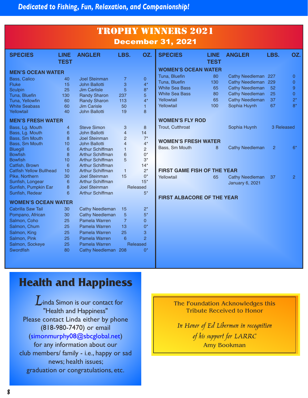| <b>TROPHY WINNERS 2021</b><br><b>December 31, 2021</b> |                            |                                                 |                     |                         |                                    |                            |                        |                |                |
|--------------------------------------------------------|----------------------------|-------------------------------------------------|---------------------|-------------------------|------------------------------------|----------------------------|------------------------|----------------|----------------|
| <b>SPECIES</b>                                         | <b>LINE</b><br><b>TEST</b> | <b>ANGLER</b>                                   | LBS.                | OZ.                     | <b>SPECIES</b>                     | <b>LINE</b><br><b>TEST</b> | <b>ANGLER</b>          | LBS.           | OZ.            |
| <b>MEN'S OCEAN WATER</b>                               |                            |                                                 |                     |                         | <b>WOMEN'S OCEAN WATER</b>         |                            |                        |                |                |
|                                                        |                            |                                                 |                     |                         | Tuna, Bluefin                      | 80                         | Cathy Needleman 227    |                | 0              |
| <b>Bass, Calico</b><br><b>Fluke</b>                    | 40<br>15                   | <b>Joel Steinman</b><br><b>John Ballotti</b>    | $\overline{7}$<br>3 | $\overline{0}$<br>$4^*$ | Tuna, Bluefin                      | 130                        | Cathy Needleman 229    |                | 0              |
| <b>Sculpin</b>                                         | 25                         | <b>Jim Carlisle</b>                             | 5                   | $8*$                    | <b>White Sea Bass</b>              | 65                         | <b>Cathy Needleman</b> | 52             | 9              |
| Tuna, Bluefin                                          | 130                        | <b>Randy Sharon</b>                             | 237                 | 5                       | <b>White Sea Bass</b>              | 80                         | <b>Cathy Needleman</b> | 25             | $\overline{0}$ |
| Tuna, Yellowfin                                        | 60                         | <b>Randy Sharon</b>                             | 113                 | $4^*$                   | Yellowtail                         | 65                         | <b>Cathy Needleman</b> | 37             | $2^*$          |
| <b>White Seabass</b>                                   | 60                         | <b>Jim Carisle</b>                              | 50                  | $\mathbf{1}$            | Yellowtail                         | 100                        | Sophia Huynh           | 67             | $8*$           |
| Yellowtail                                             | 40                         | John Ballotti                                   | 19                  | 8                       |                                    |                            |                        |                |                |
| <b>MEN'S FRESH WATER</b>                               |                            |                                                 |                     |                         | <b>WOMEN'S FLY ROD</b>             |                            |                        |                |                |
| Bass, Lg. Mouth                                        | $\overline{4}$             | <b>Steve Simon</b>                              | 3                   | 8                       | Trout, Cutthroat                   |                            | Sophia Huynh           | 3 Released     |                |
| Bass, Lg. Mouth                                        | 6                          | John Ballotti                                   | $\overline{4}$      | 14                      |                                    |                            |                        |                |                |
| Bass, Sm Mouth                                         | 8                          | <b>Joel Steinman</b>                            | $\overline{2}$      | $7^*$                   |                                    |                            |                        |                |                |
| Bass, Sm Mouth                                         | 10                         | <b>John Ballotti</b>                            | $\overline{4}$      | $4^*$                   | <b>WOMEN'S FRESH WATER</b>         |                            |                        |                |                |
| <b>Bluegill</b>                                        | 6                          | <b>Arthur Schiffman</b>                         | $\mathbf{1}$        | 2                       | Bass, Sm Mouth                     | 8                          | <b>Cathy Needleman</b> | $\overline{2}$ | $6*$           |
| <b>Bowfish</b>                                         | 8                          | Arthur Schiffman                                | 6                   | $0^*$                   |                                    |                            |                        |                |                |
| <b>Bowfish</b>                                         | 10                         | <b>Arthur Schiffman</b>                         | 5                   | $3^*$                   |                                    |                            |                        |                |                |
| Catfish, Brown                                         | 6                          | <b>Arthur Schiffman</b>                         |                     | $14*$                   |                                    |                            |                        |                |                |
| <b>Catfish Yellow Bullhead</b>                         | 10                         | <b>Arthur Schiffman</b>                         | $\mathbf{1}$        | $2^*$                   | <b>FIRST GAME FISH OF THE YEAR</b> |                            |                        |                |                |
| Pike, Northern                                         | 30                         | <b>Joel Steinman</b>                            | 15                  | $0^*$                   | Yellowtail                         | 65                         | <b>Cathy Needleman</b> | 37             | 2              |
| Sunfish, Longear                                       | 6                          | <b>Arthur Schiffman</b><br><b>Joel Steinman</b> |                     | $15*$                   |                                    |                            | <b>January 6, 2021</b> |                |                |
| Sunfish, Pumpkin Ear                                   | 8<br>6                     | <b>Arthur Schiffman</b>                         |                     | Released<br>$5*$        |                                    |                            |                        |                |                |
| Sunfish, Redear                                        |                            |                                                 |                     |                         | <b>FIRST ALBACORE OF THE YEAR</b>  |                            |                        |                |                |
| <b>WOMEN'S OCEAN WATER</b>                             |                            |                                                 |                     |                         |                                    |                            |                        |                |                |
| <b>Cabrilla Saw Tail</b>                               | 30                         | <b>Cathy Needleman</b>                          | 15                  | $2^*$                   |                                    |                            |                        |                |                |
| Pompano, African                                       | 30                         | <b>Cathy Needleman</b>                          | 5                   | $5*$                    |                                    |                            |                        |                |                |
| Salmon, Coho                                           | 25                         | Pamela Warren                                   | $\overline{7}$      | $\Omega$                |                                    |                            |                        |                |                |
| Salmon, Chum                                           | 25                         | Pamela Warren                                   | 13                  | $0^*$                   |                                    |                            |                        |                |                |
| Salmon, King                                           | 25                         | Pamela Warren                                   | 25                  | 3                       |                                    |                            |                        |                |                |
| Salmon, Pink                                           | 25                         | Pamela Warren                                   | 6                   | $\overline{2}$          |                                    |                            |                        |                |                |
| Salmon, Sockeye                                        | 25                         | Pamela Warren                                   |                     | <b>Released</b>         |                                    |                            |                        |                |                |
| <b>Swordfish</b>                                       | 80                         | Cathy Needleman 208                             |                     | $0^*$                   |                                    |                            |                        |                |                |
|                                                        |                            |                                                 |                     |                         |                                    |                            |                        |                |                |

# **Health and Happiness**

 $L$ inda Simon is our contact for "Health and Happiness" Please contact Linda either by phone (818-980-7470) or email (simonmurphy08@sbcglobal.net) for any information about our club members/ family - i.e., happy or sad news; health issues; graduation or congratulations, etc.

The Foundation Acknowledges this Tribute Received to Honor

*In Honor of Ed Liberman in recognition of his support for LARRC* Amy Bookman